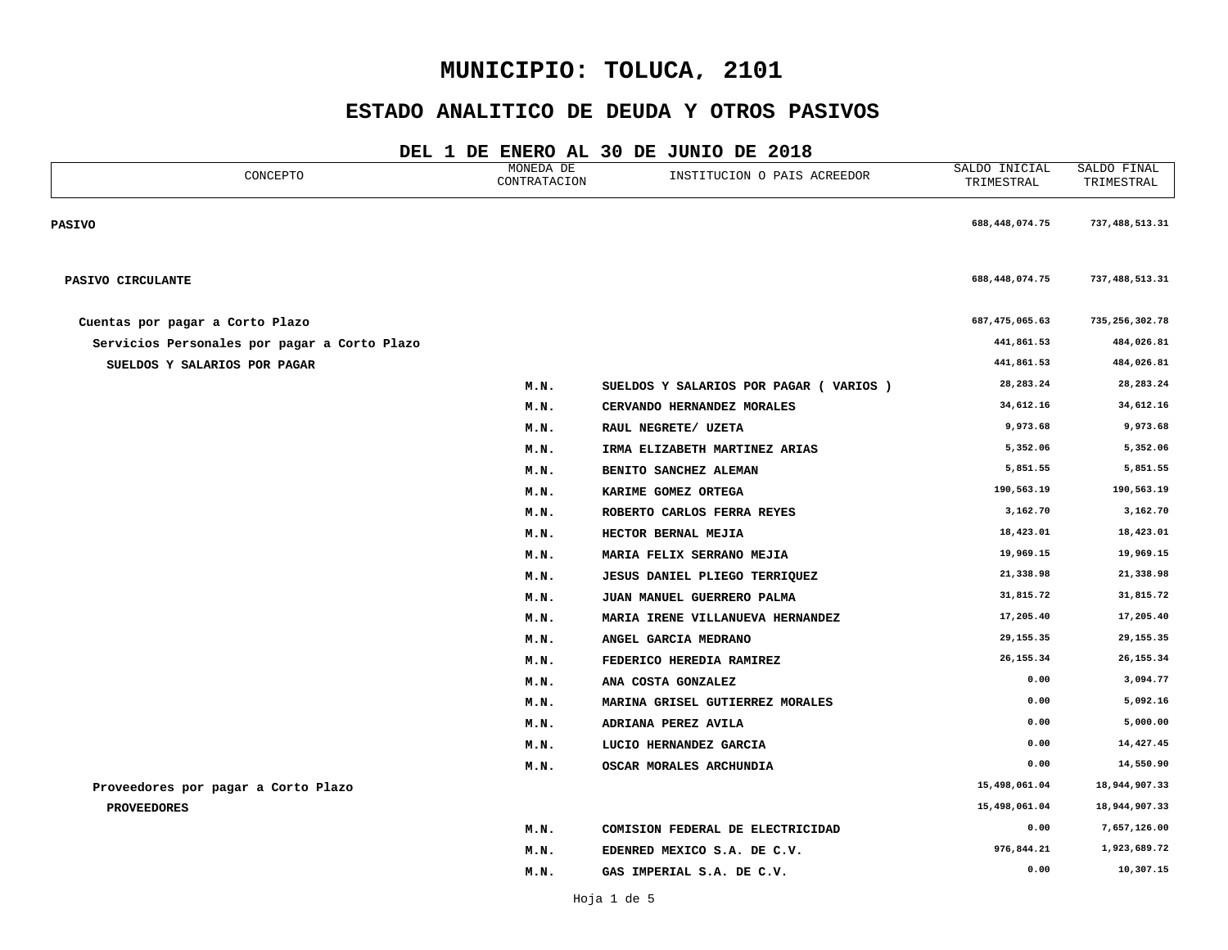## **ESTADO ANALITICO DE DEUDA Y OTROS PASIVOS**

| CONCEPTO                                     | MONEDA DE<br>CONTRATACION | INSTITUCION O PAIS ACREEDOR             | SALDO INICIAL<br>TRIMESTRAL | SALDO FINAL<br>TRIMESTRAL |
|----------------------------------------------|---------------------------|-----------------------------------------|-----------------------------|---------------------------|
| <b>PASIVO</b>                                |                           |                                         | 688,448,074.75              | 737,488,513.31            |
| PASIVO CIRCULANTE                            |                           |                                         | 688,448,074.75              | 737,488,513.31            |
| Cuentas por pagar a Corto Plazo              |                           |                                         | 687,475,065.63              | 735, 256, 302.78          |
| Servicios Personales por pagar a Corto Plazo |                           |                                         | 441,861.53                  | 484,026.81                |
| SUELDOS Y SALARIOS POR PAGAR                 |                           |                                         | 441,861.53                  | 484,026.81                |
|                                              | M.N.                      | SUELDOS Y SALARIOS POR PAGAR ( VARIOS ) | 28, 283. 24                 | 28, 283. 24               |
|                                              | M.N.                      | CERVANDO HERNANDEZ MORALES              | 34,612.16                   | 34,612.16                 |
|                                              | M.N.                      | RAUL NEGRETE/ UZETA                     | 9,973.68                    | 9,973.68                  |
|                                              | M.N.                      | IRMA ELIZABETH MARTINEZ ARIAS           | 5,352.06                    | 5,352.06                  |
|                                              | M.N.                      | BENITO SANCHEZ ALEMAN                   | 5,851.55                    | 5,851.55                  |
|                                              | M.N.                      | KARIME GOMEZ ORTEGA                     | 190,563.19                  | 190,563.19                |
|                                              | M.N.                      | ROBERTO CARLOS FERRA REYES              | 3,162.70                    | 3,162.70                  |
|                                              | M.N.                      | HECTOR BERNAL MEJIA                     | 18,423.01                   | 18,423.01                 |
|                                              | M.N.                      | MARIA FELIX SERRANO MEJIA               | 19,969.15                   | 19,969.15                 |
|                                              | M.N.                      | <b>JESUS DANIEL PLIEGO TERRIQUEZ</b>    | 21,338.98                   | 21,338.98                 |
|                                              | M.N.                      | JUAN MANUEL GUERRERO PALMA              | 31,815.72                   | 31,815.72                 |
|                                              | M.N.                      | MARIA IRENE VILLANUEVA HERNANDEZ        | 17,205.40                   | 17,205.40                 |
|                                              | M.N.                      | ANGEL GARCIA MEDRANO                    | 29, 155.35                  | 29,155.35                 |
|                                              | M.N.                      | FEDERICO HEREDIA RAMIREZ                | 26, 155. 34                 | 26, 155.34                |
|                                              | M.N.                      | ANA COSTA GONZALEZ                      | 0.00                        | 3,094.77                  |
|                                              | M.N.                      | MARINA GRISEL GUTIERREZ MORALES         | 0.00                        | 5,092.16                  |
|                                              | M.N.                      | ADRIANA PEREZ AVILA                     | 0.00                        | 5,000.00                  |
|                                              | M.N.                      | LUCIO HERNANDEZ GARCIA                  | 0.00                        | 14,427.45                 |
|                                              | M.N.                      | OSCAR MORALES ARCHUNDIA                 | 0.00                        | 14,550.90                 |
| Proveedores por pagar a Corto Plazo          |                           |                                         | 15,498,061.04               | 18,944,907.33             |
| <b>PROVEEDORES</b>                           |                           |                                         | 15,498,061.04               | 18,944,907.33             |
|                                              | M.N.                      | COMISION FEDERAL DE ELECTRICIDAD        | 0.00                        | 7,657,126.00              |
|                                              | M.N.                      | EDENRED MEXICO S.A. DE C.V.             | 976,844.21                  | 1,923,689.72              |
|                                              | M.N.                      | GAS IMPERIAL S.A. DE C.V.               | 0.00                        | 10,307.15                 |
|                                              |                           |                                         |                             |                           |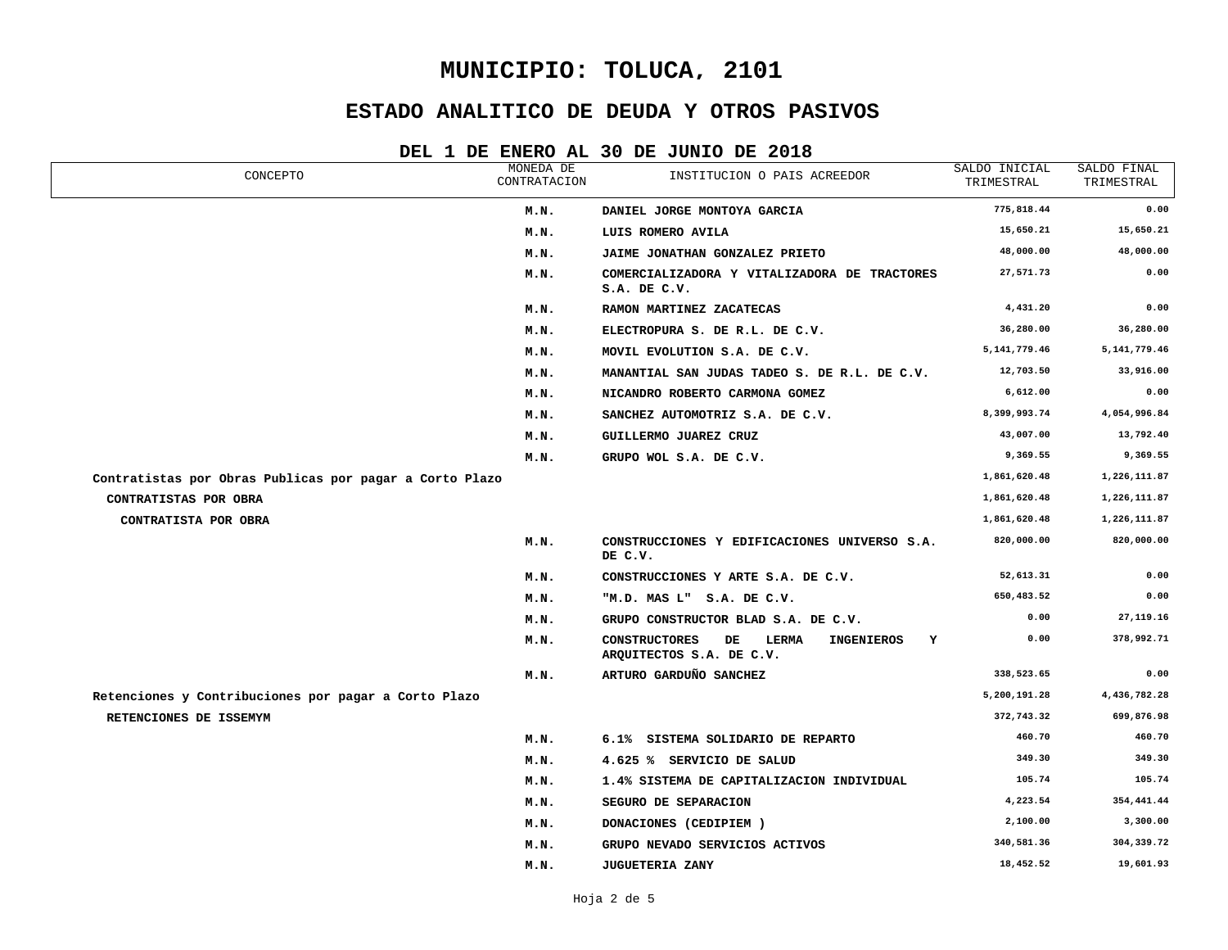## **ESTADO ANALITICO DE DEUDA Y OTROS PASIVOS**

| CONCEPTO                                                | MONEDA DE<br>CONTRATACION | INSTITUCION O PAIS ACREEDOR                                                               | SALDO INICIAL<br>TRIMESTRAL | SALDO FINAL<br>TRIMESTRAL |
|---------------------------------------------------------|---------------------------|-------------------------------------------------------------------------------------------|-----------------------------|---------------------------|
|                                                         | M.N.                      | DANIEL JORGE MONTOYA GARCIA                                                               | 775,818.44                  | 0.00                      |
|                                                         | M.N.                      | LUIS ROMERO AVILA                                                                         | 15,650.21                   | 15,650.21                 |
|                                                         | M.N.                      | JAIME JONATHAN GONZALEZ PRIETO                                                            | 48,000.00                   | 48,000.00                 |
|                                                         | M.N.                      | COMERCIALIZADORA Y VITALIZADORA DE TRACTORES<br>S.A. DE C.V.                              | 27,571.73                   | 0.00                      |
|                                                         | M.N.                      | RAMON MARTINEZ ZACATECAS                                                                  | 4,431.20                    | 0.00                      |
|                                                         | M.N.                      | ELECTROPURA S. DE R.L. DE C.V.                                                            | 36,280.00                   | 36,280.00                 |
|                                                         | M.N.                      | MOVIL EVOLUTION S.A. DE C.V.                                                              | 5, 141, 779. 46             | 5, 141, 779.46            |
|                                                         | M.N.                      | MANANTIAL SAN JUDAS TADEO S. DE R.L. DE C.V.                                              | 12,703.50                   | 33,916.00                 |
|                                                         | M.N.                      | NICANDRO ROBERTO CARMONA GOMEZ                                                            | 6,612.00                    | 0.00                      |
|                                                         | M.N.                      | SANCHEZ AUTOMOTRIZ S.A. DE C.V.                                                           | 8,399,993.74                | 4,054,996.84              |
|                                                         | M.N.                      | GUILLERMO JUAREZ CRUZ                                                                     | 43,007.00                   | 13,792.40                 |
|                                                         | M.N.                      | GRUPO WOL S.A. DE C.V.                                                                    | 9,369.55                    | 9,369.55                  |
| Contratistas por Obras Publicas por pagar a Corto Plazo |                           |                                                                                           | 1,861,620.48                | 1,226,111.87              |
| CONTRATISTAS POR OBRA                                   |                           |                                                                                           | 1,861,620.48                | 1,226,111.87              |
| CONTRATISTA POR OBRA                                    |                           |                                                                                           | 1,861,620.48                | 1,226,111.87              |
|                                                         | M.N.                      | CONSTRUCCIONES Y EDIFICACIONES UNIVERSO S.A.<br>DE C.V.                                   | 820,000.00                  | 820,000.00                |
|                                                         | M.N.                      | CONSTRUCCIONES Y ARTE S.A. DE C.V.                                                        | 52,613.31                   | 0.00                      |
|                                                         | M.N.                      | "M.D. MAS L" S.A. DE C.V.                                                                 | 650,483.52                  | 0.00                      |
|                                                         | M.N.                      | GRUPO CONSTRUCTOR BLAD S.A. DE C.V.                                                       | 0.00                        | 27, 119. 16               |
|                                                         | M.N.                      | LERMA<br><b>CONSTRUCTORES</b><br>DE<br><b>INGENIEROS</b><br>Y<br>ARQUITECTOS S.A. DE C.V. | 0.00                        | 378,992.71                |
|                                                         | M.N.                      | ARTURO GARDUÑO SANCHEZ                                                                    | 338,523.65                  | 0.00                      |
| Retenciones y Contribuciones por pagar a Corto Plazo    |                           |                                                                                           | 5,200,191.28                | 4,436,782.28              |
| RETENCIONES DE ISSEMYM                                  |                           |                                                                                           | 372,743.32                  | 699,876.98                |
|                                                         | M.N.                      | 6.1% SISTEMA SOLIDARIO DE REPARTO                                                         | 460.70                      | 460.70                    |
|                                                         | M.N.                      | 4.625 % SERVICIO DE SALUD                                                                 | 349.30                      | 349.30                    |
|                                                         | M.N.                      | 1.4% SISTEMA DE CAPITALIZACION INDIVIDUAL                                                 | 105.74                      | 105.74                    |
|                                                         | M.N.                      | SEGURO DE SEPARACION                                                                      | 4,223.54                    | 354,441.44                |
|                                                         | M.N.                      | DONACIONES (CEDIPIEM)                                                                     | 2,100.00                    | 3,300.00                  |
|                                                         | M.N.                      | GRUPO NEVADO SERVICIOS ACTIVOS                                                            | 340,581.36                  | 304,339.72                |
|                                                         | M.N.                      | <b>JUGUETERIA ZANY</b>                                                                    | 18,452.52                   | 19,601.93                 |
|                                                         |                           |                                                                                           |                             |                           |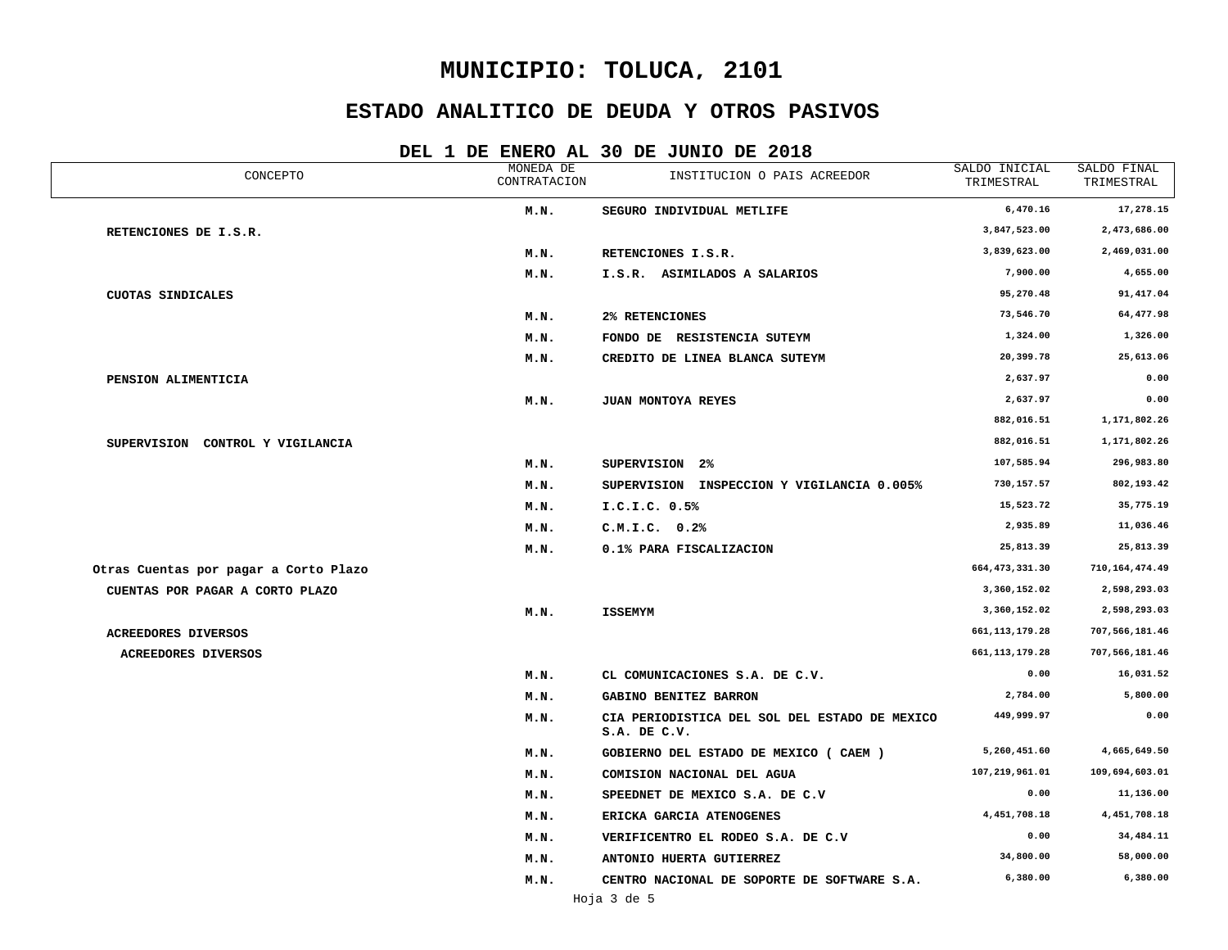## **ESTADO ANALITICO DE DEUDA Y OTROS PASIVOS**

| CONCEPTO                              | MONEDA DE<br>CONTRATACION | INSTITUCION O PAIS ACREEDOR                                   | SALDO INICIAL<br>TRIMESTRAL | SALDO FINAL<br>TRIMESTRAL |
|---------------------------------------|---------------------------|---------------------------------------------------------------|-----------------------------|---------------------------|
|                                       | M.N.                      | SEGURO INDIVIDUAL METLIFE                                     | 6,470.16                    | 17,278.15                 |
| RETENCIONES DE I.S.R.                 |                           |                                                               | 3,847,523.00                | 2,473,686.00              |
|                                       | M.N.                      | RETENCIONES I.S.R.                                            | 3,839,623.00                | 2,469,031.00              |
|                                       | M.N.                      | I.S.R. ASIMILADOS A SALARIOS                                  | 7,900.00                    | 4,655.00                  |
| <b>CUOTAS SINDICALES</b>              |                           |                                                               | 95,270.48                   | 91,417.04                 |
|                                       | M.N.                      | 2% RETENCIONES                                                | 73,546.70                   | 64,477.98                 |
|                                       | M.N.                      | FONDO DE RESISTENCIA SUTEYM                                   | 1,324.00                    | 1,326.00                  |
|                                       | M.N.                      | CREDITO DE LINEA BLANCA SUTEYM                                | 20,399.78                   | 25,613.06                 |
| PENSION ALIMENTICIA                   |                           |                                                               | 2,637.97                    | 0.00                      |
|                                       | M.N.                      | JUAN MONTOYA REYES                                            | 2,637.97                    | 0.00                      |
|                                       |                           |                                                               | 882,016.51                  | 1,171,802.26              |
| SUPERVISION CONTROL Y VIGILANCIA      |                           |                                                               | 882,016.51                  | 1,171,802.26              |
|                                       | M.N.                      | SUPERVISION 2%                                                | 107,585.94                  | 296,983.80                |
|                                       | M.N.                      | SUPERVISION INSPECCION Y VIGILANCIA 0.005%                    | 730,157.57                  | 802,193.42                |
|                                       | M.N.                      | I.C.I.C. 0.5%                                                 | 15,523.72                   | 35,775.19                 |
|                                       | M.N.                      | C.M.I.C. 0.2%                                                 | 2,935.89                    | 11,036.46                 |
|                                       | M.N.                      | 0.1% PARA FISCALIZACION                                       | 25,813.39                   | 25,813.39                 |
| Otras Cuentas por pagar a Corto Plazo |                           |                                                               | 664, 473, 331.30            | 710, 164, 474.49          |
| CUENTAS POR PAGAR A CORTO PLAZO       |                           |                                                               | 3,360,152.02                | 2,598,293.03              |
|                                       | M.N.                      | <b>ISSEMYM</b>                                                | 3,360,152.02                | 2,598,293.03              |
| <b>ACREEDORES DIVERSOS</b>            |                           |                                                               | 661, 113, 179. 28           | 707,566,181.46            |
| ACREEDORES DIVERSOS                   |                           |                                                               | 661, 113, 179. 28           | 707,566,181.46            |
|                                       | M.N.                      | CL COMUNICACIONES S.A. DE C.V.                                | 0.00                        | 16,031.52                 |
|                                       | M.N.                      | GABINO BENITEZ BARRON                                         | 2,784.00                    | 5,800.00                  |
|                                       | M.N.                      | CIA PERIODISTICA DEL SOL DEL ESTADO DE MEXICO<br>S.A. DE C.V. | 449,999.97                  | 0.00                      |
|                                       | M.N.                      | GOBIERNO DEL ESTADO DE MEXICO (CAEM)                          | 5,260,451.60                | 4,665,649.50              |
|                                       | M.N.                      | COMISION NACIONAL DEL AGUA                                    | 107,219,961.01              | 109,694,603.01            |
|                                       | M.N.                      | SPEEDNET DE MEXICO S.A. DE C.V                                | 0.00                        | 11,136.00                 |
|                                       | M.N.                      | ERICKA GARCIA ATENOGENES                                      | 4,451,708.18                | 4,451,708.18              |
|                                       | M.N.                      | VERIFICENTRO EL RODEO S.A. DE C.V                             | 0.00                        | 34,484.11                 |
|                                       | M.N.                      | ANTONIO HUERTA GUTIERREZ                                      | 34,800.00                   | 58,000.00                 |
|                                       | M.N.                      | CENTRO NACIONAL DE SOPORTE DE SOFTWARE S.A.                   | 6,380.00                    | 6,380.00                  |
|                                       |                           |                                                               |                             |                           |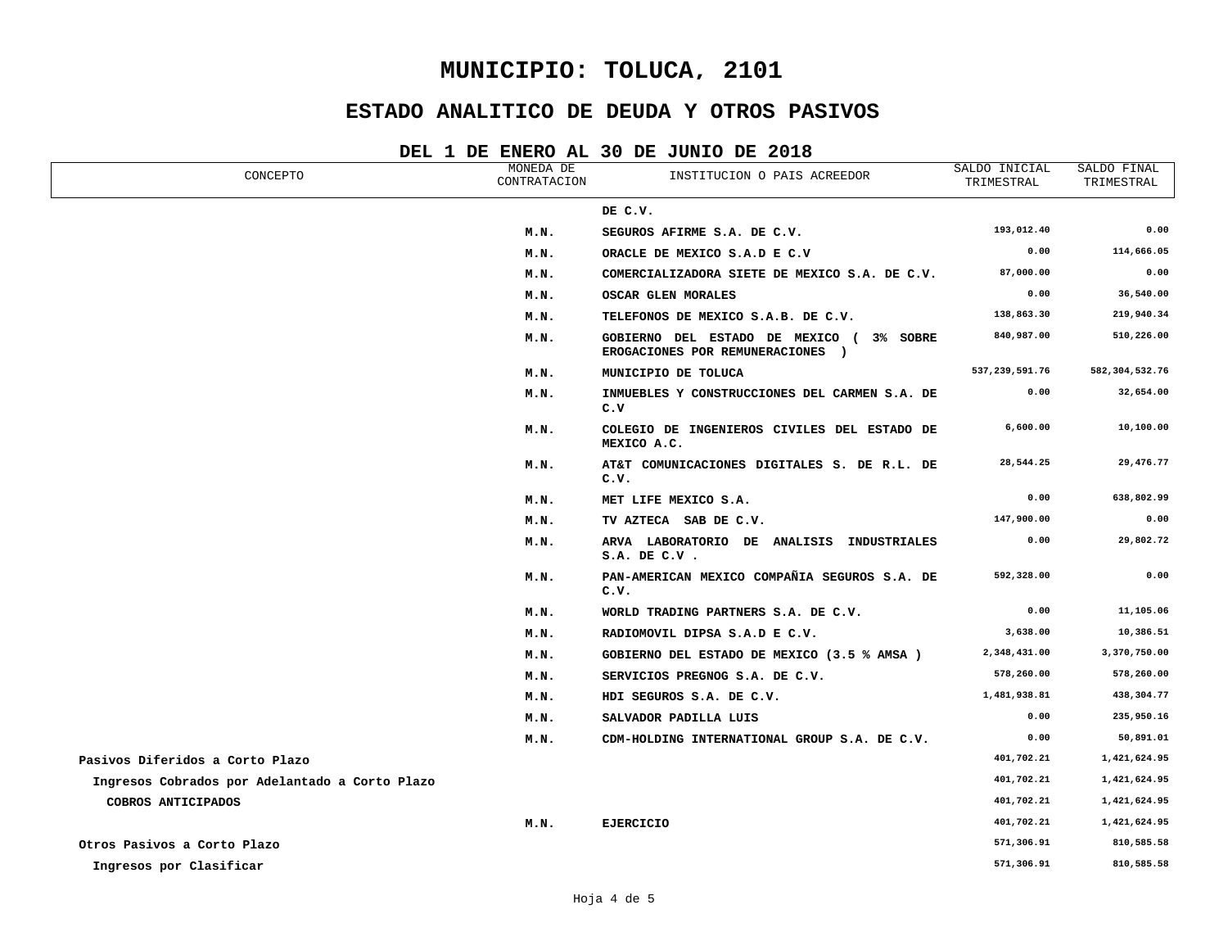## **ESTADO ANALITICO DE DEUDA Y OTROS PASIVOS**

| CONCEPTO                                       | MONEDA DE<br>CONTRATACION | INSTITUCION O PAIS ACREEDOR                                                  | SALDO INICIAL<br>TRIMESTRAL | SALDO FINAL<br>TRIMESTRAL |
|------------------------------------------------|---------------------------|------------------------------------------------------------------------------|-----------------------------|---------------------------|
|                                                |                           | DE C.V.                                                                      |                             |                           |
|                                                | M.N.                      | SEGUROS AFIRME S.A. DE C.V.                                                  | 193,012.40                  | 0.00                      |
|                                                | M.N.                      | ORACLE DE MEXICO S.A.D E C.V                                                 | 0.00                        | 114,666.05                |
|                                                | M.N.                      | COMERCIALIZADORA SIETE DE MEXICO S.A. DE C.V.                                | 87,000.00                   | 0.00                      |
|                                                | M.N.                      | OSCAR GLEN MORALES                                                           | 0.00                        | 36,540.00                 |
|                                                | M.N.                      | TELEFONOS DE MEXICO S.A.B. DE C.V.                                           | 138,863.30                  | 219,940.34                |
|                                                | M.N.                      | GOBIERNO DEL ESTADO DE MEXICO ( 3% SOBRE<br>EROGACIONES POR REMUNERACIONES ) | 840,987.00                  | 510,226.00                |
|                                                | M.N.                      | MUNICIPIO DE TOLUCA                                                          | 537,239,591.76              | 582, 304, 532.76          |
|                                                | M.N.                      | INMUEBLES Y CONSTRUCCIONES DEL CARMEN S.A. DE<br>c.v                         | 0.00                        | 32,654.00                 |
|                                                | M.N.                      | COLEGIO DE INGENIEROS CIVILES DEL ESTADO DE<br>MEXICO A.C.                   | 6,600.00                    | 10,100.00                 |
|                                                | M.N.                      | AT&T COMUNICACIONES DIGITALES S. DE R.L. DE<br>c.v.                          | 28,544.25                   | 29,476.77                 |
|                                                | M.N.                      | MET LIFE MEXICO S.A.                                                         | 0.00                        | 638,802.99                |
|                                                | M.N.                      | TV AZTECA SAB DE C.V.                                                        | 147,900.00                  | 0.00                      |
|                                                | M.N.                      | ARVA LABORATORIO DE ANALISIS INDUSTRIALES<br>S.A. DE C.V.                    | 0.00                        | 29,802.72                 |
|                                                | M.N.                      | PAN-AMERICAN MEXICO COMPAÑIA SEGUROS S.A. DE<br>c.v.                         | 592,328.00                  | 0.00                      |
|                                                | M.N.                      | WORLD TRADING PARTNERS S.A. DE C.V.                                          | 0.00                        | 11,105.06                 |
|                                                | M.N.                      | RADIOMOVIL DIPSA S.A.D E C.V.                                                | 3,638.00                    | 10,386.51                 |
|                                                | M.N.                      | GOBIERNO DEL ESTADO DE MEXICO (3.5 % AMSA)                                   | 2,348,431.00                | 3,370,750.00              |
|                                                | M.N.                      | SERVICIOS PREGNOG S.A. DE C.V.                                               | 578,260.00                  | 578,260.00                |
|                                                | M.N.                      | HDI SEGUROS S.A. DE C.V.                                                     | 1,481,938.81                | 438,304.77                |
|                                                | M.N.                      | SALVADOR PADILLA LUIS                                                        | 0.00                        | 235,950.16                |
|                                                | M.N.                      | CDM-HOLDING INTERNATIONAL GROUP S.A. DE C.V.                                 | 0.00                        | 50,891.01                 |
| Pasivos Diferidos a Corto Plazo                |                           |                                                                              | 401,702.21                  | 1,421,624.95              |
| Ingresos Cobrados por Adelantado a Corto Plazo |                           |                                                                              | 401,702.21                  | 1,421,624.95              |
| COBROS ANTICIPADOS                             |                           |                                                                              | 401,702.21                  | 1,421,624.95              |
|                                                | M.N.                      | <b>EJERCICIO</b>                                                             | 401,702.21                  | 1,421,624.95              |
| Otros Pasivos a Corto Plazo                    |                           |                                                                              | 571,306.91                  | 810,585.58                |
| Ingresos por Clasificar                        |                           |                                                                              | 571,306.91                  | 810,585.58                |